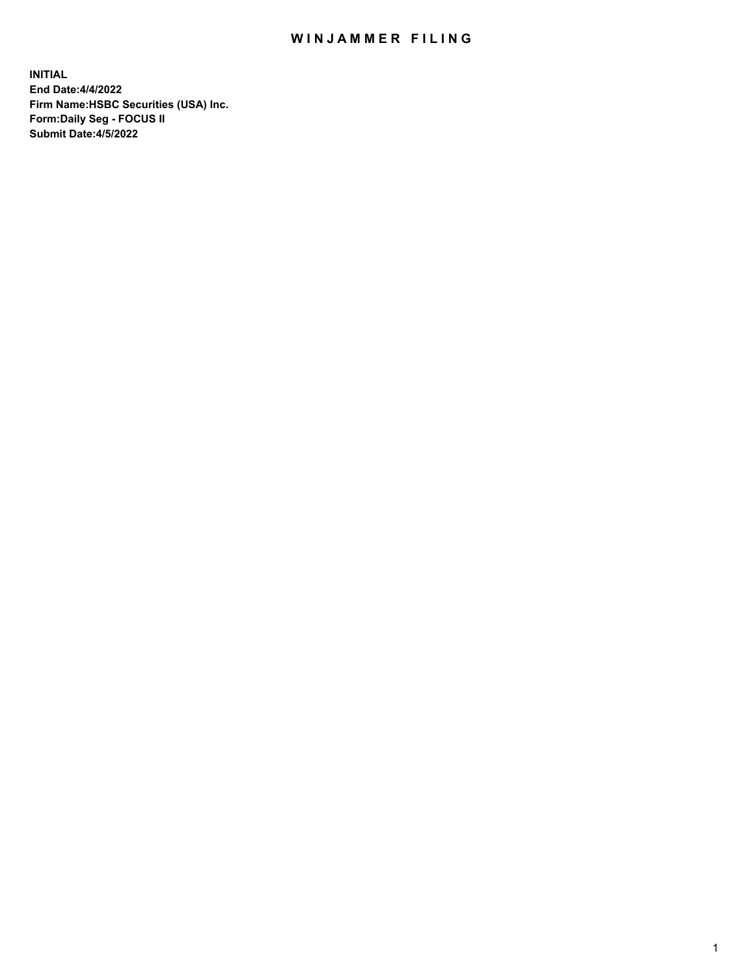## WIN JAMMER FILING

**INITIAL End Date:4/4/2022 Firm Name:HSBC Securities (USA) Inc. Form:Daily Seg - FOCUS II Submit Date:4/5/2022**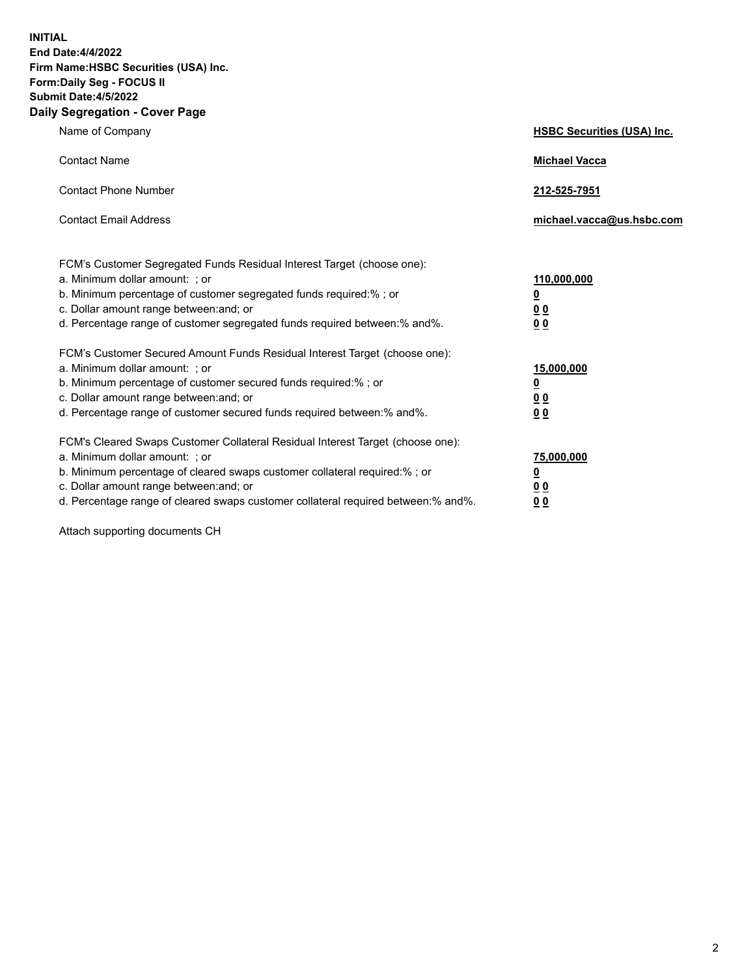**INITIAL End Date:4/4/2022 Firm Name:HSBC Securities (USA) Inc. Form:Daily Seg - FOCUS II Submit Date:4/5/2022 Daily Segregation - Cover Page**

| Name of Company                                                                                                                                                                                                                                                                                                                | <b>HSBC Securities (USA) Inc.</b>                              |
|--------------------------------------------------------------------------------------------------------------------------------------------------------------------------------------------------------------------------------------------------------------------------------------------------------------------------------|----------------------------------------------------------------|
| <b>Contact Name</b>                                                                                                                                                                                                                                                                                                            | <b>Michael Vacca</b>                                           |
| <b>Contact Phone Number</b>                                                                                                                                                                                                                                                                                                    | 212-525-7951                                                   |
| <b>Contact Email Address</b>                                                                                                                                                                                                                                                                                                   | michael.vacca@us.hsbc.com                                      |
| FCM's Customer Segregated Funds Residual Interest Target (choose one):<br>a. Minimum dollar amount: ; or<br>b. Minimum percentage of customer segregated funds required:%; or<br>c. Dollar amount range between: and; or<br>d. Percentage range of customer segregated funds required between:% and%.                          | 110,000,000<br>$\overline{\mathbf{0}}$<br>0 <sub>0</sub><br>00 |
| FCM's Customer Secured Amount Funds Residual Interest Target (choose one):<br>a. Minimum dollar amount: ; or<br>b. Minimum percentage of customer secured funds required:%; or<br>c. Dollar amount range between: and; or<br>d. Percentage range of customer secured funds required between:% and%.                            | 15,000,000<br><u>0</u><br>0 <sub>0</sub><br>00                 |
| FCM's Cleared Swaps Customer Collateral Residual Interest Target (choose one):<br>a. Minimum dollar amount: ; or<br>b. Minimum percentage of cleared swaps customer collateral required:% ; or<br>c. Dollar amount range between: and; or<br>d. Percentage range of cleared swaps customer collateral required between:% and%. | 75,000,000<br><u>0</u><br><u>00</u><br>00                      |

Attach supporting documents CH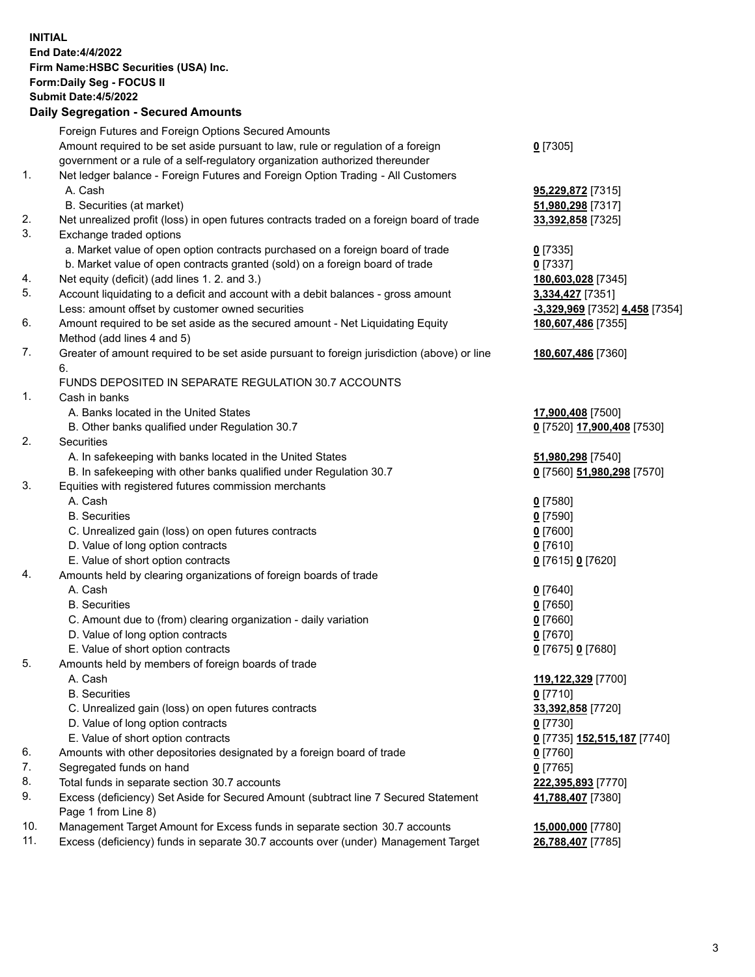**INITIAL End Date:4/4/2022 Firm Name:HSBC Securities (USA) Inc. Form:Daily Seg - FOCUS II Submit Date:4/5/2022 Daily Segregation - Secured Amounts** Foreign Futures and Foreign Options Secured Amounts Amount required to be set aside pursuant to law, rule or regulation of a foreign government or a rule of a self-regulatory organization authorized thereunder **0** [7305] 1. Net ledger balance - Foreign Futures and Foreign Option Trading - All Customers A. Cash **95,229,872** [7315] B. Securities (at market) **51,980,298** [7317] 2. Net unrealized profit (loss) in open futures contracts traded on a foreign board of trade **33,392,858** [7325] 3. Exchange traded options a. Market value of open option contracts purchased on a foreign board of trade **0** [7335] b. Market value of open contracts granted (sold) on a foreign board of trade **0** [7337] 4. Net equity (deficit) (add lines 1. 2. and 3.) **180,603,028** [7345] 5. Account liquidating to a deficit and account with a debit balances - gross amount **3,334,427** [7351] Less: amount offset by customer owned securities **-3,329,969** [7352] **4,458** [7354] 6. Amount required to be set aside as the secured amount - Net Liquidating Equity Method (add lines 4 and 5) **180,607,486** [7355] 7. Greater of amount required to be set aside pursuant to foreign jurisdiction (above) or line 6. **180,607,486** [7360] FUNDS DEPOSITED IN SEPARATE REGULATION 30.7 ACCOUNTS 1. Cash in banks A. Banks located in the United States **17,900,408** [7500] B. Other banks qualified under Regulation 30.7 **0** [7520] **17,900,408** [7530] 2. Securities A. In safekeeping with banks located in the United States **51,980,298** [7540] B. In safekeeping with other banks qualified under Regulation 30.7 **0** [7560] **51,980,298** [7570] 3. Equities with registered futures commission merchants A. Cash **0** [7580] B. Securities **0** [7590] C. Unrealized gain (loss) on open futures contracts **0** [7600] D. Value of long option contracts **0** [7610] E. Value of short option contracts **0** [7615] **0** [7620] 4. Amounts held by clearing organizations of foreign boards of trade A. Cash **0** [7640] B. Securities **0** [7650] C. Amount due to (from) clearing organization - daily variation **0** [7660] D. Value of long option contracts **0** [7670] E. Value of short option contracts **0** [7675] **0** [7680] 5. Amounts held by members of foreign boards of trade A. Cash **119,122,329** [7700] B. Securities **0** [7710] C. Unrealized gain (loss) on open futures contracts **33,392,858** [7720] D. Value of long option contracts **0** [7730] E. Value of short option contracts **0** [7735] **152,515,187** [7740] 6. Amounts with other depositories designated by a foreign board of trade **0** [7760] 7. Segregated funds on hand **0** [7765] 8. Total funds in separate section 30.7 accounts **222,395,893** [7770] 9. Excess (deficiency) Set Aside for Secured Amount (subtract line 7 Secured Statement Page 1 from Line 8) **41,788,407** [7380] 10. Management Target Amount for Excess funds in separate section 30.7 accounts **15,000,000** [7780] 11. Excess (deficiency) funds in separate 30.7 accounts over (under) Management Target **26,788,407** [7785]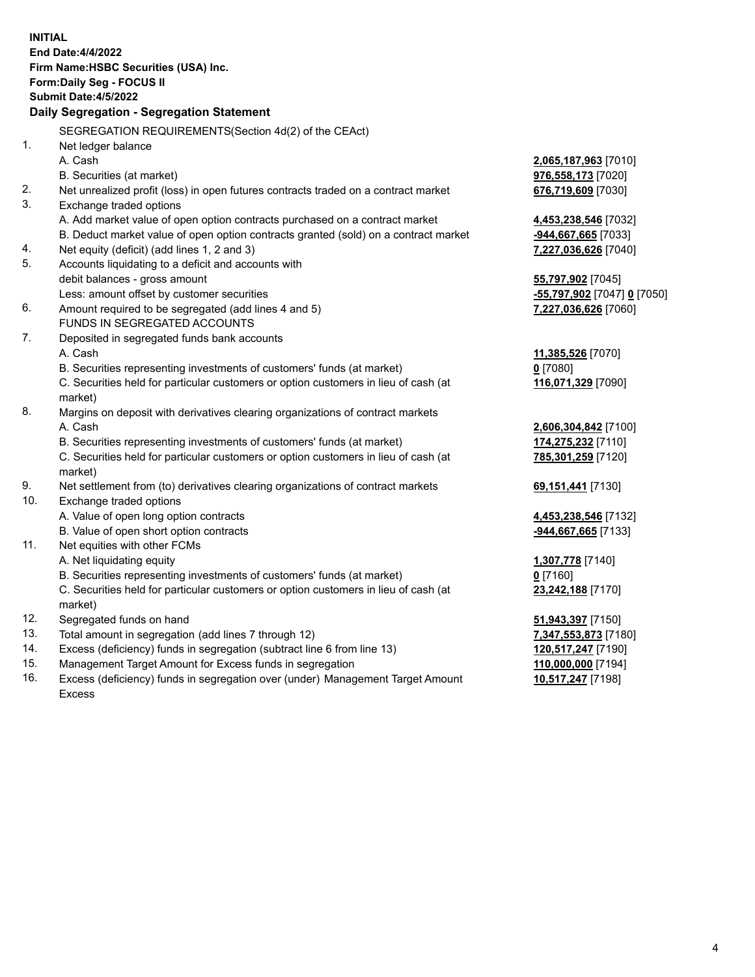| <b>INITIAL</b> |                                                                                     |                             |
|----------------|-------------------------------------------------------------------------------------|-----------------------------|
|                | <b>End Date:4/4/2022</b>                                                            |                             |
|                | Firm Name: HSBC Securities (USA) Inc.                                               |                             |
|                | <b>Form:Daily Seg - FOCUS II</b>                                                    |                             |
|                | <b>Submit Date:4/5/2022</b>                                                         |                             |
|                | Daily Segregation - Segregation Statement                                           |                             |
|                | SEGREGATION REQUIREMENTS (Section 4d(2) of the CEAct)                               |                             |
| 1.             | Net ledger balance                                                                  |                             |
|                | A. Cash                                                                             | 2,065,187,963 [7010]        |
|                | B. Securities (at market)                                                           | 976,558,173 [7020]          |
| 2.             | Net unrealized profit (loss) in open futures contracts traded on a contract market  | 676,719,609 [7030]          |
| 3.             | Exchange traded options                                                             |                             |
|                | A. Add market value of open option contracts purchased on a contract market         | 4,453,238,546 [7032]        |
|                | B. Deduct market value of open option contracts granted (sold) on a contract market | -944,667,665 [7033]         |
| 4.             | Net equity (deficit) (add lines 1, 2 and 3)                                         | 7,227,036,626 [7040]        |
| 5.             | Accounts liquidating to a deficit and accounts with                                 |                             |
|                | debit balances - gross amount                                                       | 55,797,902 [7045]           |
|                | Less: amount offset by customer securities                                          | -55,797,902 [7047] 0 [7050] |
| 6.             | Amount required to be segregated (add lines 4 and 5)                                | 7,227,036,626 [7060]        |
|                | <b>FUNDS IN SEGREGATED ACCOUNTS</b>                                                 |                             |
| 7.             | Deposited in segregated funds bank accounts                                         |                             |
|                | A. Cash                                                                             | 11,385,526 [7070]           |
|                | B. Securities representing investments of customers' funds (at market)              | $0$ [7080]                  |
|                | C. Securities held for particular customers or option customers in lieu of cash (at | 116,071,329 [7090]          |
|                | market)                                                                             |                             |
| 8.             | Margins on deposit with derivatives clearing organizations of contract markets      |                             |
|                | A. Cash                                                                             | 2,606,304,842 [7100]        |
|                | B. Securities representing investments of customers' funds (at market)              | 174,275,232 [7110]          |
|                | C. Securities held for particular customers or option customers in lieu of cash (at | 785,301,259 [7120]          |
|                | market)                                                                             |                             |
| 9.             | Net settlement from (to) derivatives clearing organizations of contract markets     | 69,151,441 [7130]           |
| 10.            | Exchange traded options                                                             |                             |
|                | A. Value of open long option contracts                                              | 4,453,238,546 [7132]        |
|                | B. Value of open short option contracts                                             | <u>-944,667,665</u> [7133]  |
| 11.            | Net equities with other FCMs                                                        |                             |
|                | A. Net liquidating equity                                                           | 1,307,778 [7140]            |
|                | B. Securities representing investments of customers' funds (at market)              | $0$ [7160]                  |
|                | C. Securities held for particular customers or option customers in lieu of cash (at | 23,242,188 [7170]           |
|                | market)                                                                             |                             |
| 12.<br>13.     | Segregated funds on hand                                                            | 51,943,397 [7150]           |
| 14.            | Total amount in segregation (add lines 7 through 12)                                | 7,347,553,873 [7180]        |
| 15.            | Excess (deficiency) funds in segregation (subtract line 6 from line 13)             | 120,517,247 [7190]          |
|                | Management Target Amount for Excess funds in segregation                            | 110,000,000 [7194]          |

16. Excess (deficiency) funds in segregation over (under) Management Target Amount Excess

**10,517,247** [7198]